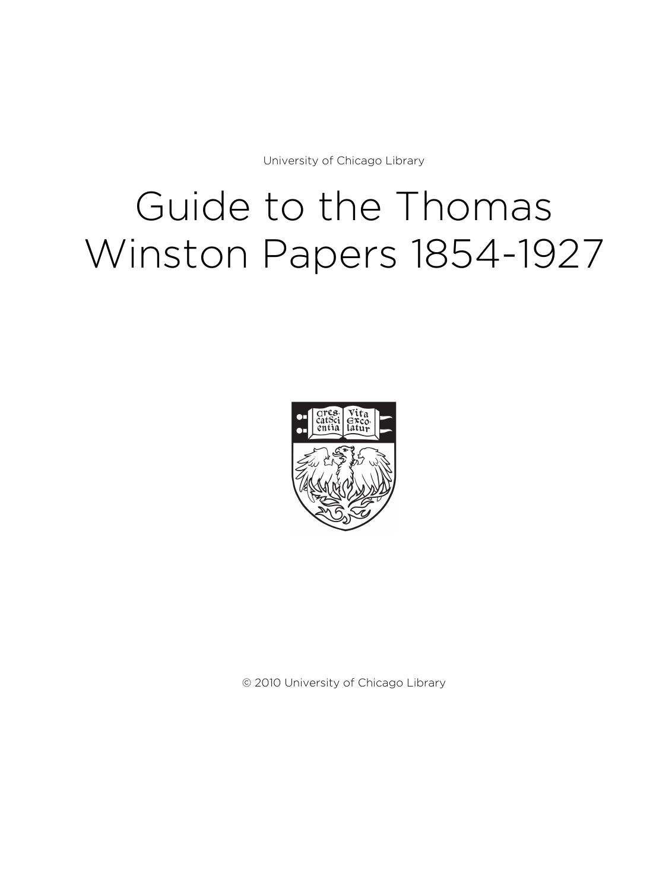University of Chicago Library

# Guide to the Thomas Winston Papers 1854-1927



© 2010 University of Chicago Library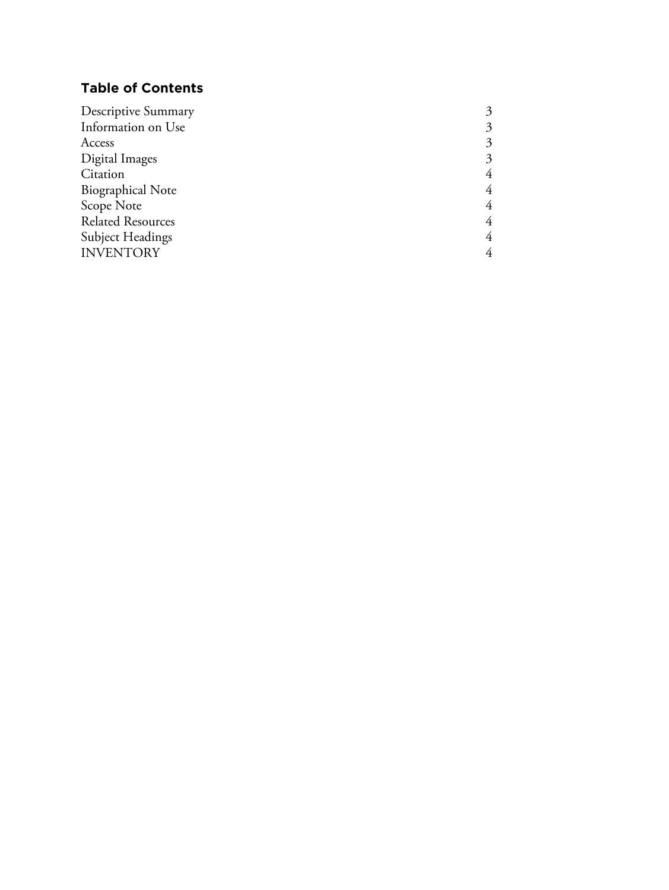# **Table of Contents**

| 3 |
|---|
| 3 |
| 3 |
| 4 |
| 4 |
| 4 |
| 4 |
| 4 |
|   |
|   |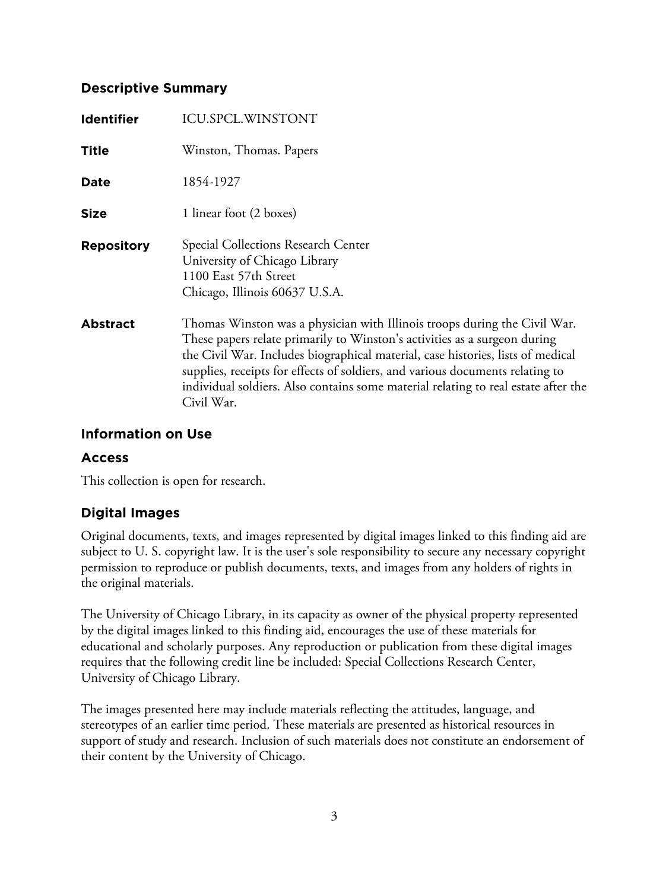# **Descriptive Summary**

| <b>Identifier</b> | <b>ICU.SPCL.WINSTONT</b>                                                                                                                                                                                                                                                                                                                                                                                                       |
|-------------------|--------------------------------------------------------------------------------------------------------------------------------------------------------------------------------------------------------------------------------------------------------------------------------------------------------------------------------------------------------------------------------------------------------------------------------|
| <b>Title</b>      | Winston, Thomas. Papers                                                                                                                                                                                                                                                                                                                                                                                                        |
| <b>Date</b>       | 1854-1927                                                                                                                                                                                                                                                                                                                                                                                                                      |
| <b>Size</b>       | 1 linear foot (2 boxes)                                                                                                                                                                                                                                                                                                                                                                                                        |
| <b>Repository</b> | Special Collections Research Center<br>University of Chicago Library<br>1100 East 57th Street<br>Chicago, Illinois 60637 U.S.A.                                                                                                                                                                                                                                                                                                |
| <b>Abstract</b>   | Thomas Winston was a physician with Illinois troops during the Civil War.<br>These papers relate primarily to Winston's activities as a surgeon during<br>the Civil War. Includes biographical material, case histories, lists of medical<br>supplies, receipts for effects of soldiers, and various documents relating to<br>individual soldiers. Also contains some material relating to real estate after the<br>Civil War. |

# **Information on Use**

## **Access**

This collection is open for research.

# **Digital Images**

Original documents, texts, and images represented by digital images linked to this finding aid are subject to U. S. copyright law. It is the user's sole responsibility to secure any necessary copyright permission to reproduce or publish documents, texts, and images from any holders of rights in the original materials.

The University of Chicago Library, in its capacity as owner of the physical property represented by the digital images linked to this finding aid, encourages the use of these materials for educational and scholarly purposes. Any reproduction or publication from these digital images requires that the following credit line be included: Special Collections Research Center, University of Chicago Library.

The images presented here may include materials reflecting the attitudes, language, and stereotypes of an earlier time period. These materials are presented as historical resources in support of study and research. Inclusion of such materials does not constitute an endorsement of their content by the University of Chicago.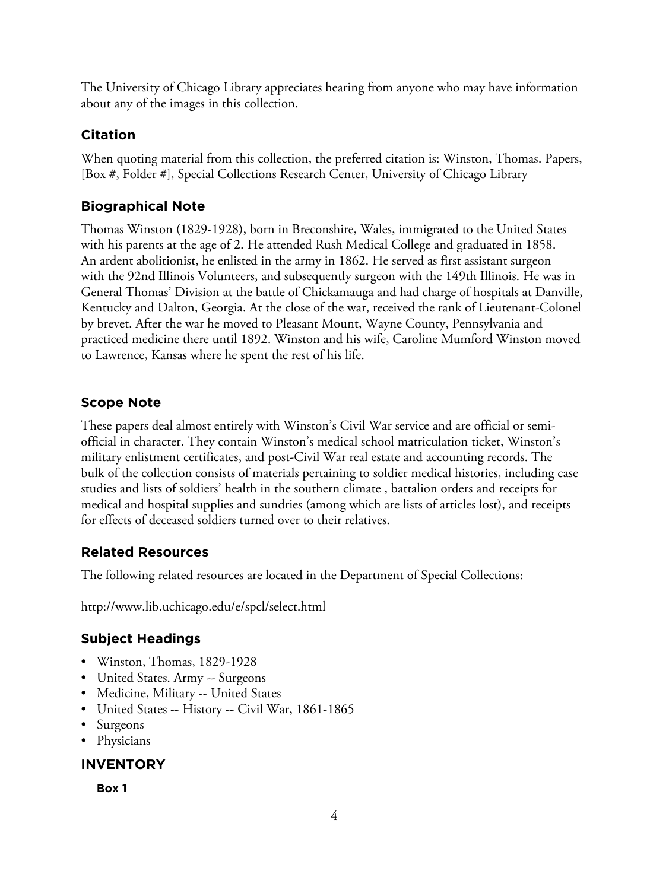The University of Chicago Library appreciates hearing from anyone who may have information about any of the images in this collection.

# **Citation**

When quoting material from this collection, the preferred citation is: Winston, Thomas. Papers, [Box #, Folder #], Special Collections Research Center, University of Chicago Library

# **Biographical Note**

Thomas Winston (1829-1928), born in Breconshire, Wales, immigrated to the United States with his parents at the age of 2. He attended Rush Medical College and graduated in 1858. An ardent abolitionist, he enlisted in the army in 1862. He served as first assistant surgeon with the 92nd Illinois Volunteers, and subsequently surgeon with the 149th Illinois. He was in General Thomas' Division at the battle of Chickamauga and had charge of hospitals at Danville, Kentucky and Dalton, Georgia. At the close of the war, received the rank of Lieutenant-Colonel by brevet. After the war he moved to Pleasant Mount, Wayne County, Pennsylvania and practiced medicine there until 1892. Winston and his wife, Caroline Mumford Winston moved to Lawrence, Kansas where he spent the rest of his life.

# **Scope Note**

These papers deal almost entirely with Winston's Civil War service and are official or semiofficial in character. They contain Winston's medical school matriculation ticket, Winston's military enlistment certificates, and post-Civil War real estate and accounting records. The bulk of the collection consists of materials pertaining to soldier medical histories, including case studies and lists of soldiers' health in the southern climate , battalion orders and receipts for medical and hospital supplies and sundries (among which are lists of articles lost), and receipts for effects of deceased soldiers turned over to their relatives.

# **Related Resources**

The following related resources are located in the Department of Special Collections:

http://www.lib.uchicago.edu/e/spcl/select.html

# **Subject Headings**

- Winston, Thomas, 1829-1928
- United States. Army -- Surgeons
- Medicine, Military -- United States
- United States -- History -- Civil War, 1861-1865
- Surgeons
- Physicians

# **INVENTORY**

**Box 1**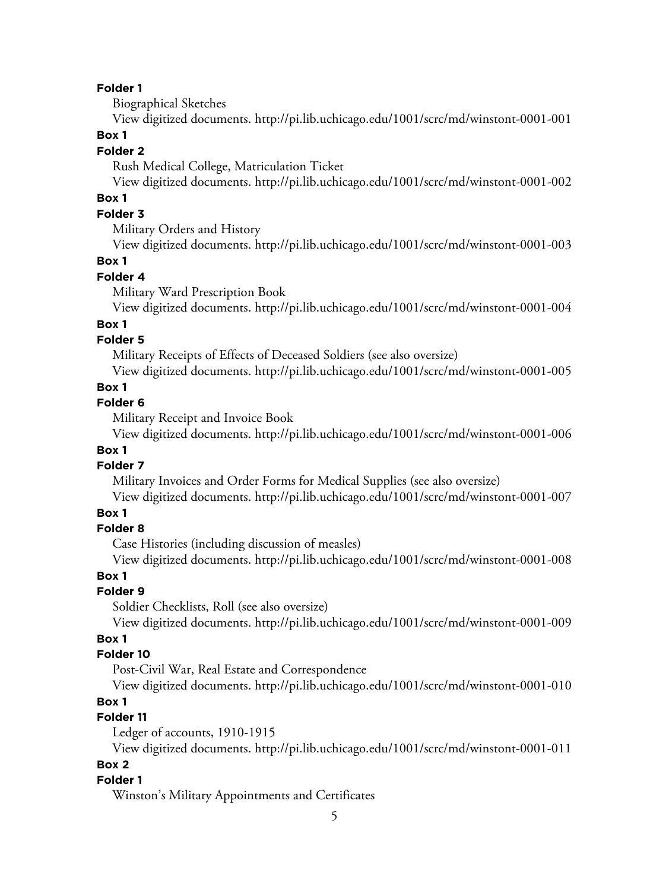#### **Folder 1**

Biographical Sketches

View digitized documents. <http://pi.lib.uchicago.edu/1001/scrc/md/winstont-0001-001>

#### **Box 1**

#### **Folder 2**

Rush Medical College, Matriculation Ticket

View digitized documents. <http://pi.lib.uchicago.edu/1001/scrc/md/winstont-0001-002>

# **Box 1**

# **Folder 3**

Military Orders and History

View digitized documents. <http://pi.lib.uchicago.edu/1001/scrc/md/winstont-0001-003>

#### **Box 1**

#### **Folder 4**

Military Ward Prescription Book

View digitized documents. <http://pi.lib.uchicago.edu/1001/scrc/md/winstont-0001-004>

#### **Box 1**

## **Folder 5**

Military Receipts of Effects of Deceased Soldiers (see also oversize)

View digitized documents. <http://pi.lib.uchicago.edu/1001/scrc/md/winstont-0001-005>

#### **Box 1**

## **Folder 6**

Military Receipt and Invoice Book

View digitized documents. <http://pi.lib.uchicago.edu/1001/scrc/md/winstont-0001-006>

## **Box 1**

#### **Folder 7**

Military Invoices and Order Forms for Medical Supplies (see also oversize)

View digitized documents. <http://pi.lib.uchicago.edu/1001/scrc/md/winstont-0001-007>

# **Box 1**

#### **Folder 8**

Case Histories (including discussion of measles)

View digitized documents. <http://pi.lib.uchicago.edu/1001/scrc/md/winstont-0001-008>

#### **Box 1**

#### **Folder 9**

Soldier Checklists, Roll (see also oversize)

View digitized documents. <http://pi.lib.uchicago.edu/1001/scrc/md/winstont-0001-009>

#### **Box 1**

#### **Folder 10**

Post-Civil War, Real Estate and Correspondence

View digitized documents. <http://pi.lib.uchicago.edu/1001/scrc/md/winstont-0001-010>

## **Box 1**

## **Folder 11**

Ledger of accounts, 1910-1915

View digitized documents. <http://pi.lib.uchicago.edu/1001/scrc/md/winstont-0001-011>

## **Box 2**

#### **Folder 1**

Winston's Military Appointments and Certificates